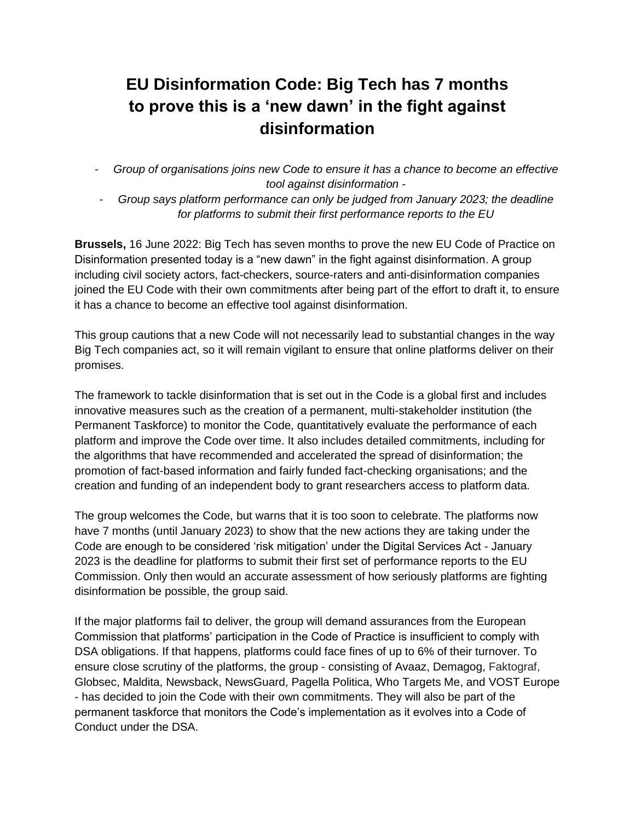## **EU Disinformation Code: Big Tech has 7 months to prove this is a 'new dawn' in the fight against disinformation**

- *Group of organisations joins new Code to ensure it has a chance to become an effective tool against disinformation -*
- *Group says platform performance can only be judged from January 2023; the deadline for platforms to submit their first performance reports to the EU*

**Brussels,** 16 June 2022: Big Tech has seven months to prove the new EU Code of Practice on Disinformation presented today is a "new dawn" in the fight against disinformation. A group including civil society actors, fact-checkers, source-raters and anti-disinformation companies joined the EU Code with their own commitments after being part of the effort to draft it, to ensure it has a chance to become an effective tool against disinformation.

This group cautions that a new Code will not necessarily lead to substantial changes in the way Big Tech companies act, so it will remain vigilant to ensure that online platforms deliver on their promises.

The framework to tackle disinformation that is set out in the Code is a global first and includes innovative measures such as the creation of a permanent, multi-stakeholder institution (the Permanent Taskforce) to monitor the Code, quantitatively evaluate the performance of each platform and improve the Code over time. It also includes detailed commitments, including for the algorithms that have recommended and accelerated the spread of disinformation; the promotion of fact-based information and fairly funded fact-checking organisations; and the creation and funding of an independent body to grant researchers access to platform data.

The group welcomes the Code, but warns that it is too soon to celebrate. The platforms now have 7 months (until January 2023) to show that the new actions they are taking under the Code are enough to be considered 'risk mitigation' under the Digital Services Act - January 2023 is the deadline for platforms to submit their first set of performance reports to the EU Commission. Only then would an accurate assessment of how seriously platforms are fighting disinformation be possible, the group said.

If the major platforms fail to deliver, the group will demand assurances from the European Commission that platforms' participation in the Code of Practice is insufficient to comply with DSA obligations. If that happens, platforms could face fines of up to 6% of their turnover. To ensure close scrutiny of the platforms, the group - consisting of Avaaz, Demagog, Faktograf, Globsec, Maldita, Newsback, NewsGuard, Pagella Politica, Who Targets Me, and VOST Europe - has decided to join the Code with their own commitments. They will also be part of the permanent taskforce that monitors the Code's implementation as it evolves into a Code of Conduct under the DSA.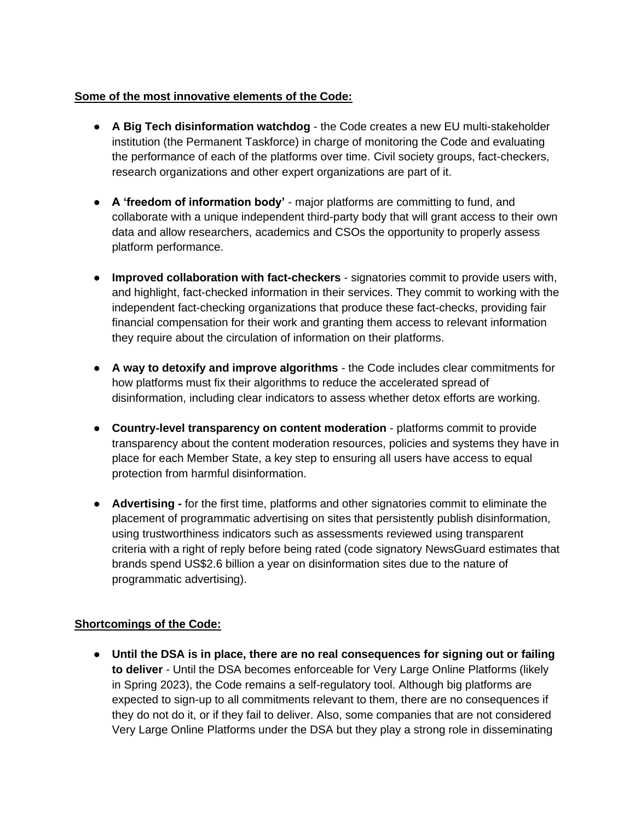## **Some of the most innovative elements of the Code:**

- **A Big Tech disinformation watchdog**  the Code creates a new EU multi-stakeholder institution (the Permanent Taskforce) in charge of monitoring the Code and evaluating the performance of each of the platforms over time. Civil society groups, fact-checkers, research organizations and other expert organizations are part of it.
- **A 'freedom of information body'**  major platforms are committing to fund, and collaborate with a unique independent third-party body that will grant access to their own data and allow researchers, academics and CSOs the opportunity to properly assess platform performance.
- **Improved collaboration with fact-checkers**  signatories commit to provide users with, and highlight, fact-checked information in their services. They commit to working with the independent fact-checking organizations that produce these fact-checks, providing fair financial compensation for their work and granting them access to relevant information they require about the circulation of information on their platforms.
- **A way to detoxify and improve algorithms**  the Code includes clear commitments for how platforms must fix their algorithms to reduce the accelerated spread of disinformation, including clear indicators to assess whether detox efforts are working.
- **Country-level transparency on content moderation** platforms commit to provide transparency about the content moderation resources, policies and systems they have in place for each Member State, a key step to ensuring all users have access to equal protection from harmful disinformation.
- **Advertising -** for the first time, platforms and other signatories commit to eliminate the placement of programmatic advertising on sites that persistently publish disinformation, using trustworthiness indicators such as assessments reviewed using transparent criteria with a right of reply before being rated (code signatory NewsGuard estimates that brands spend US\$2.6 billion a year on disinformation sites due to the nature of programmatic advertising).

## **Shortcomings of the Code:**

● **Until the DSA is in place, there are no real consequences for signing out or failing to deliver** - Until the DSA becomes enforceable for Very Large Online Platforms (likely in Spring 2023), the Code remains a self-regulatory tool. Although big platforms are expected to sign-up to all commitments relevant to them, there are no consequences if they do not do it, or if they fail to deliver. Also, some companies that are not considered Very Large Online Platforms under the DSA but they play a strong role in disseminating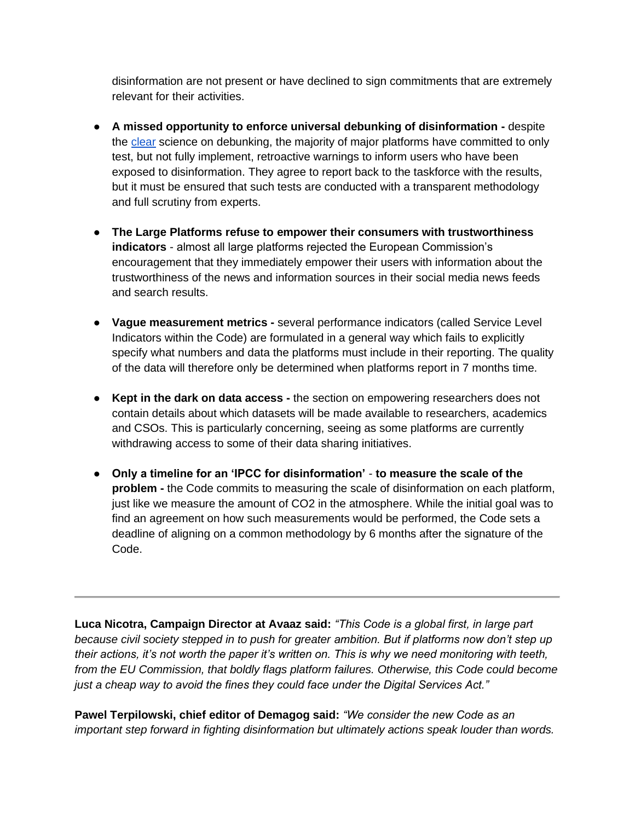disinformation are not present or have declined to sign commitments that are extremely relevant for their activities.

- **A missed opportunity to enforce universal debunking of disinformation -** despite the [clear](https://www.climatechangecommunication.org/wp-content/uploads/2020/10/DebunkingHandbook2020.pdf) science on debunking, the majority of major platforms have committed to only test, but not fully implement, retroactive warnings to inform users who have been exposed to disinformation. They agree to report back to the taskforce with the results, but it must be ensured that such tests are conducted with a transparent methodology and full scrutiny from experts.
- **The Large Platforms refuse to empower their consumers with trustworthiness indicators** - almost all large platforms rejected the European Commission's encouragement that they immediately empower their users with information about the trustworthiness of the news and information sources in their social media news feeds and search results.
- **Vague measurement metrics -** several performance indicators (called Service Level Indicators within the Code) are formulated in a general way which fails to explicitly specify what numbers and data the platforms must include in their reporting. The quality of the data will therefore only be determined when platforms report in 7 months time.
- **Kept in the dark on data access -** the section on empowering researchers does not contain details about which datasets will be made available to researchers, academics and CSOs. This is particularly concerning, seeing as some platforms are currently withdrawing access to some of their data sharing initiatives.
- **Only a timeline for an 'IPCC for disinformation' to measure the scale of the problem -** the Code commits to measuring the scale of disinformation on each platform, just like we measure the amount of CO2 in the atmosphere. While the initial goal was to find an agreement on how such measurements would be performed, the Code sets a deadline of aligning on a common methodology by 6 months after the signature of the Code.

**Luca Nicotra, Campaign Director at Avaaz said:** *"This Code is a global first, in large part because civil society stepped in to push for greater ambition. But if platforms now don't step up their actions, it's not worth the paper it's written on. This is why we need monitoring with teeth, from the EU Commission, that boldly flags platform failures. Otherwise, this Code could become just a cheap way to avoid the fines they could face under the Digital Services Act."*

**Pawel Terpilowski, chief editor of Demagog said:** *"We consider the new Code as an important step forward in fighting disinformation but ultimately actions speak louder than words.*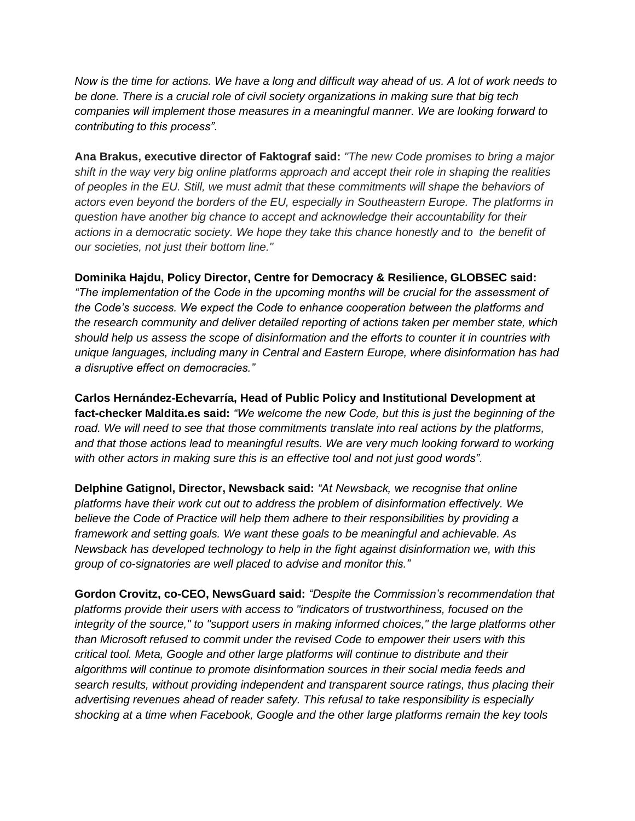*Now is the time for actions. We have a long and difficult way ahead of us. A lot of work needs to be done. There is a crucial role of civil society organizations in making sure that big tech companies will implement those measures in a meaningful manner. We are looking forward to contributing to this process".*

**Ana Brakus, executive director of Faktograf said:** *"The new Code promises to bring a major shift in the way very big online platforms approach and accept their role in shaping the realities of peoples in the EU. Still, we must admit that these commitments will shape the behaviors of actors even beyond the borders of the EU, especially in Southeastern Europe. The platforms in question have another big chance to accept and acknowledge their accountability for their actions in a democratic society. We hope they take this chance honestly and to the benefit of our societies, not just their bottom line."*

**Dominika Hajdu, Policy Director, Centre for Democracy & Resilience, GLOBSEC said:** 

*"The implementation of the Code in the upcoming months will be crucial for the assessment of the Code's success. We expect the Code to enhance cooperation between the platforms and the research community and deliver detailed reporting of actions taken per member state, which should help us assess the scope of disinformation and the efforts to counter it in countries with unique languages, including many in Central and Eastern Europe, where disinformation has had a disruptive effect on democracies."*

**Carlos Hernández-Echevarría, Head of Public Policy and Institutional Development at fact-checker Maldita.es said:** *"We welcome the new Code, but this is just the beginning of the road. We will need to see that those commitments translate into real actions by the platforms, and that those actions lead to meaningful results. We are very much looking forward to working with other actors in making sure this is an effective tool and not just good words".* 

**Delphine Gatignol, Director, Newsback said:** *"At Newsback, we recognise that online platforms have their work cut out to address the problem of disinformation effectively. We believe the Code of Practice will help them adhere to their responsibilities by providing a framework and setting goals. We want these goals to be meaningful and achievable. As Newsback has developed technology to help in the fight against disinformation we, with this group of co-signatories are well placed to advise and monitor this."*

**Gordon Crovitz, co-CEO, NewsGuard said:** *"Despite the Commission's recommendation that platforms provide their users with access to "indicators of trustworthiness, focused on the integrity of the source," to "support users in making informed choices," the large platforms other than Microsoft refused to commit under the revised Code to empower their users with this critical tool. Meta, Google and other large platforms will continue to distribute and their algorithms will continue to promote disinformation sources in their social media feeds and search results, without providing independent and transparent source ratings, thus placing their advertising revenues ahead of reader safety. This refusal to take responsibility is especially shocking at a time when Facebook, Google and the other large platforms remain the key tools*